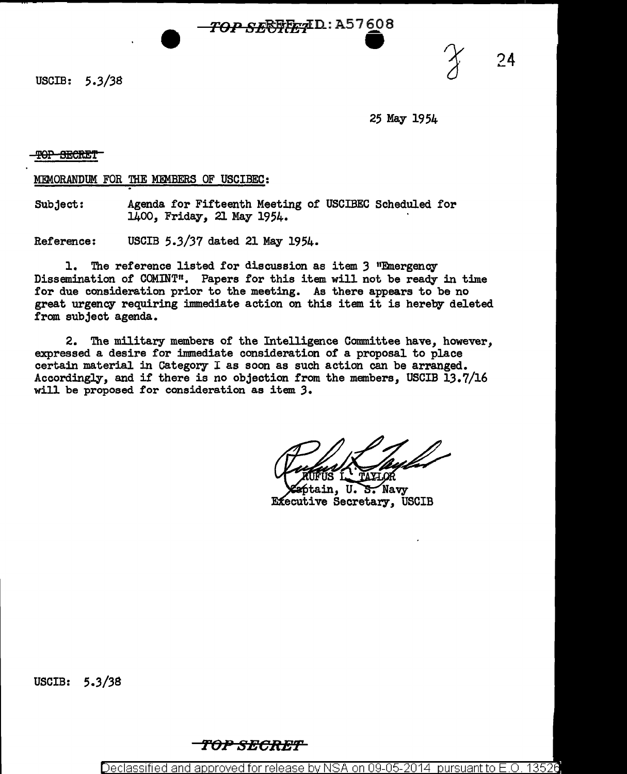*TOP SE***FRET** D: A57608

USCIB:  $5.3/38$ 

24

25 May 1954

T<del>OP SECRET</del>

MEMORANDUM FOR THE MEMBERS OF USCIBEC:

Subject: Agenda for Fifteenth Meeting of USCIBEC Scheduled for 1400, Friday, 21 May 1954. ·

Reference: USCIB 5.3/37 dated 21 May 1954.

1. The reference listed for discussion as item 3 "Emergency Dissemination of COMINT". Papers for this item will not be ready in time for due consideration prior to the meeting. As there appears to be no great urgency requiring immediate action on this item it is hereby deleted from subject agenda.

2. The military members of the Intelligence Committee have, however, expressed a desire for immediate consideration of a proposal to place certain material in Category I as soon as such action can be arranged. Accordingly, and if there is no objection from the members, USCIB 13.7/16 will be proposed for consideration as item *3.* 

U. S. Navy tain. **Executive Secretary, USCIB** 

USCIB: 5.3/38

*TtJPSECRBT* 

Declassified and approved for release by NSA on 09-05-2014 pursuant to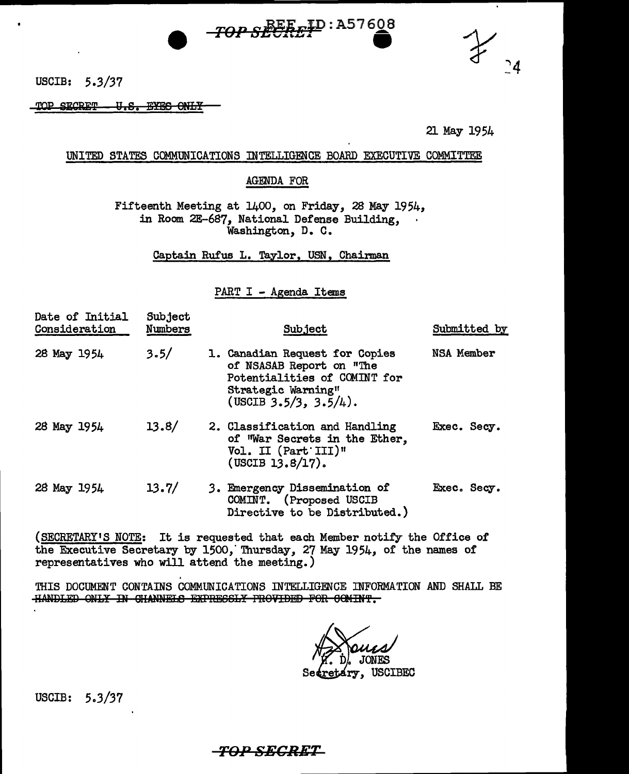



USCIB: 5.3/37

TOP SECRET U.S. EYES ONLY

21 May 1954

## UNITED STATES COMMUNICATIONS INTELLIGENCE BOARD EXECUTIVE COMMITTEE

## **AGENDA FOR**

Fifteenth Meeting at 1400, on Friday, 28 May 1954, in Room 2E-687, National Defense Building. Washington, D. C.

Captain Rufus L. Taylor, USN, Chairman

PART I - Agenda Items

| Date of Initial<br>Consideration | Subject<br>Numbers | Subject                                                                                                                                         | Submitted by |
|----------------------------------|--------------------|-------------------------------------------------------------------------------------------------------------------------------------------------|--------------|
| 28 May 1954                      | 3.5/               | 1. Canadian Request for Copies<br>of NSASAB Report on "The<br>Potentialities of COMINT for<br>Strategic Warning"<br>(USCIB $3.5/3$ , $3.5/4$ ). | NSA Member   |
| 28 May 1954                      | 13.8/              | 2. Classification and Handling<br>of War Secrets in the Ether,<br>Vol. II (Part III)"<br>$($ USCIB 13.8 $/$ 17 $).$                             | Exec. Secy.  |
| 28 May 1954                      | 13.7/              | 3. Emergency Dissemination of<br>COMINT. (Proposed USCIB<br>Directive to be Distributed.)                                                       | Exec. Secy.  |

(SECRETARY'S NOTE: It is requested that each Member notify the Office of the Executive Secretary by 1500, Thursday, 27 May 1954, of the names of representatives who will attend the meeting.)

THIS DOCUMENT CONTAINS COMMUNICATIONS INTELLIGENCE INFORMATION AND SHALL BE HANDLED ONLY IN CHANNELS EXPRESSLY PROVIDED FOR COMINT.

**USCIBEC** 

USCIB:  $5.3/37$ 

## -TOP SECRET